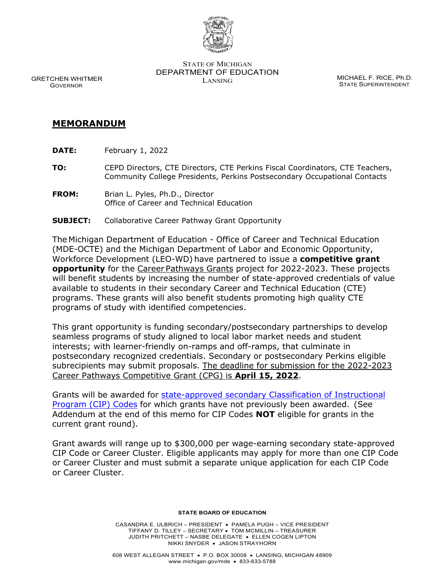

STATE OF MICHIGAN DEPARTMENT OF EDUCATION MICHAEL F. RICE, Ph.D.<br>LANSING

STATE SUPERINTENDENT

 GRETCHEN WHITMER GOVERNOR

## **MEMORANDUM**

**DATE:** February 1, 2022

**TO:** CEPD Directors, CTE Directors, CTE Perkins Fiscal Coordinators, CTE Teachers, Community College Presidents, Perkins Postsecondary Occupational Contacts

- **FROM:** Brian L. Pyles, Ph.D., Director Office of Career and Technical Education
- **SUBJECT:** Collaborative Career Pathway Grant Opportunity

The Michigan Department of Education - Office of Career and Technical Education (MDE-OCTE) and the Michigan Department of Labor and Economic Opportunity, Workforce Development (LEO-WD) have partnered to issue a **competitive grant opportunity** for the Career Pathways Grants project for 2022-2023. These projects will benefit students by increasing the number of state-approved credentials of value available to students in their secondary Career and Technical Education (CTE) programs. These grants will also benefit students promoting high quality CTE programs of study with identified competencies.

This grant opportunity is funding secondary/postsecondary partnerships to develop seamless programs of study aligned to local labor market needs and student interests; with learner-friendly on-ramps and off-ramps, that culminate in postsecondary recognized credentials. Secondary or postsecondary Perkins eligible subrecipients may submit proposals. The deadline for submission for the 2022-2023 Career Pathways Competitive Grant (CPG) is **April 15, 2022**.

Grants will be awarded for state-approved secondary Classification of Instructional [Program \(CIP\) Codes](https://www.michigan.gov/documents/mde/Career_Cluster_and_CIP_Codes_by_Consultant_699744_7.pdf) for which grants have not previously been awarded.  (See Addendum at the end of this memo for CIP Codes **NOT** eligible for grants in the current grant round).

Grant awards will range up to \$300,000 per wage-earning secondary state-approved CIP Code or Career Cluster. Eligible applicants may apply for more than one CIP Code or Career Cluster and must submit a separate unique application for each CIP Code or Career Cluster.

## **STATE BOARD OF EDUCATION**

CASANDRA E. ULBRICH – PRESIDENT • PAMELA PUGH – VICE PRESIDENT TIFFANY D. TILLEY – SECRETARY • TOM MCMILLIN – TREASURER JUDITH PRITCHETT – NASBE DELEGATE • ELLEN COGEN LIPTON NIKKI SNYDER • JASON STRAYHORN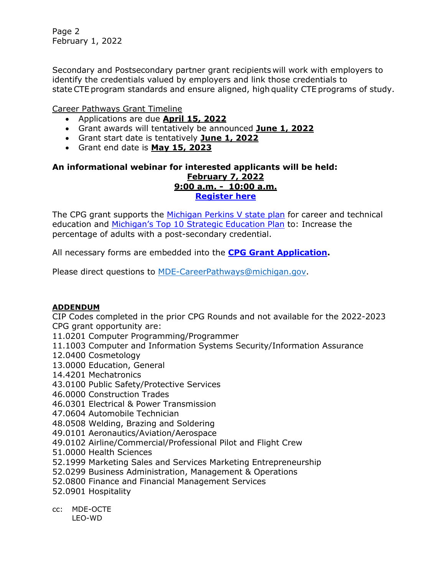Page 2 February 1, 2022

Secondary and Postsecondary partner grant recipients will work with employers to identify the credentials valued by employers and link those credentials to state CTE program standards and ensure aligned, high quality CTE programs of study.

Career Pathways Grant Timeline

- Applications are due **April 15, 2022**
- Grant awards will tentatively be announced **June 1, 2022**
- Grant start date is tentatively **June 1, 2022**
- Grant end date is **May 15, 2023**

## **An informational webinar for interested applicants will be held: February 7, 2022 9:00 a.m. - 10:00 a.m. [Register here](https://teams.microsoft.com/l/meetup-join/19%3ameeting_Y2YzOWEzZjYtZDc4ZC00ODE4LThlMjItMmIxNThlYTkwNzE1%40thread.v2/0?context=%7b%22Tid%22%3a%22d5fb7087-3777-42ad-966a-892ef47225d1%22%2c%22Oid%22%3a%2272f67ccb-9a3c-4dbc-93bc-d9881ae7dab4%22%2c%22IsBroadcastMeeting%22%3atrue%7d&btype=a&role=a)**

The CPG grant supports the [Michigan Perkins V state plan](https://www.michigan.gov/mde/-/media/Project/Websites/mde/CTE/cte_Perkins/Perkins_V_State_Plan_Only_-_lr.pdf) for career and technical education and [Michigan's Top 10 Strategic Education Plan](https://www.michigan.gov/documents/mde/Top_10_MI_Strategic_Ed_Plan-final_9.11.20_702098_7.pdf) to: Increase the percentage of adults with a post-secondary credential.

All necessary forms are embedded into the **[CPG Grant Application.](https://www.michigan.gov/mde/-/media/Project/Websites/mde/CTE/cte_cpg/Grant Application CPG3.pdf)**

Please direct questions to MDE[-CareerPathways@michigan.gov.](mailto:MDE-CareerPathways@michigan.gov)

## **ADDENDUM**

CIP Codes completed in the prior CPG Rounds and not available for the 2022-2023 CPG grant opportunity are:

11.0201 Computer Programming/Programmer

- 11.1003 Computer and Information Systems Security/Information Assurance
- 12.0400 Cosmetology
- 13.0000 Education, General
- 14.4201 Mechatronics
- 43.0100 Public Safety/Protective Services
- 46.0000 Construction Trades
- 46.0301 Electrical & Power Transmission
- 47.0604 Automobile Technician
- 48.0508 Welding, Brazing and Soldering
- 49.0101 Aeronautics/Aviation/Aerospace
- 49.0102 Airline/Commercial/Professional Pilot and Flight Crew
- 51.0000 Health Sciences
- 52.1999 Marketing Sales and Services Marketing Entrepreneurship
- 52.0299 Business Administration, Management & Operations
- 52.0800 Finance and Financial Management Services
- 52.0901 Hospitality
- cc: MDE-OCTE LEO-WD